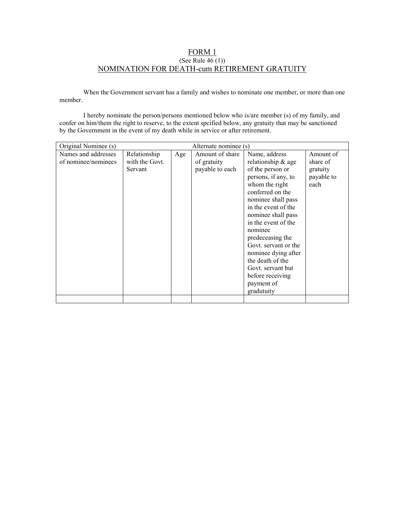## FORM 1 (See Rule 46 (1)) NOMINATION FOR DEATH-cum RETIREMENT GRATUITY

When the Government servant has a family and wishes to nominate one member, or more than one member.

I hereby nominate the person/persons mentioned below who is/are member (s) of my family, and confer on him/them the right to reserve, to the extent spcified below, any gratuity that may be sanctioned by the Government in the event of my death while in service or after retirement.

| Original Nominee (s)                       | Alternate nominee (s)                     |     |                                                   |                                                                                                                                                                                                                                                                                                                                                                                       |                                                         |
|--------------------------------------------|-------------------------------------------|-----|---------------------------------------------------|---------------------------------------------------------------------------------------------------------------------------------------------------------------------------------------------------------------------------------------------------------------------------------------------------------------------------------------------------------------------------------------|---------------------------------------------------------|
| Names and addresses<br>of nominee/nominees | Relationship<br>with the Govt.<br>Servant | Age | Amount of share<br>of gratuity<br>payable to each | Name, address<br>relationship & age<br>of the person or<br>persons, if any, to<br>whom the right<br>conferred on the<br>nominee shall pass<br>in the event of the<br>nominee shall pass<br>in the event of the<br>nominee<br>predeceasing the<br>Govt. servant or the<br>nominee dying after<br>the death of the<br>Govt. servant but<br>before receiving<br>payment of<br>gradutuity | Amount of<br>share of<br>gratuity<br>payable to<br>each |
|                                            |                                           |     |                                                   |                                                                                                                                                                                                                                                                                                                                                                                       |                                                         |